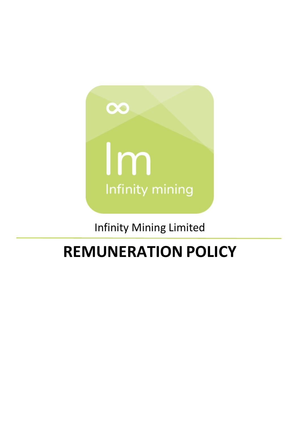

Infinity Mining Limited

# **REMUNERATION POLICY**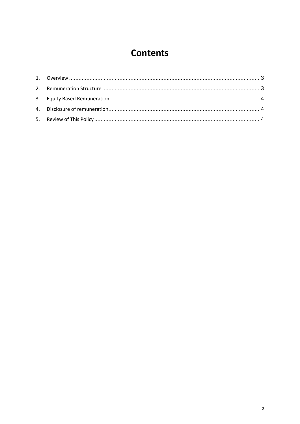## **Contents**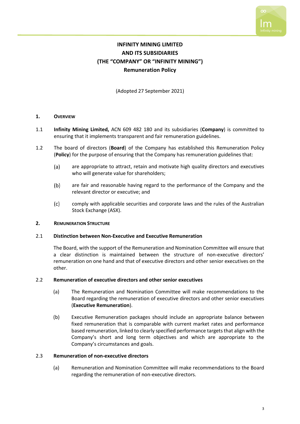

### **INFINITY MINING LIMITED AND ITS SUBSIDIARIES (THE "COMPANY" OR "INFINITY MINING") Remuneration Policy**

(Adopted 27 September 2021)

#### <span id="page-2-0"></span>**1. OVERVIEW**

- 1.1 **Infinity Mining Limited,** ACN 609 482 180 and its subsidiaries (**Company**) is committed to ensuring that it implements transparent and fair remuneration guidelines.
- 1.2 The board of directors (**Board**) of the Company has established this Remuneration Policy (**Policy**) for the purpose of ensuring that the Company has remuneration guidelines that:
	- $(a)$ are appropriate to attract, retain and motivate high quality directors and executives who will generate value for shareholders;
	- $(b)$ are fair and reasonable having regard to the performance of the Company and the relevant director or executive; and
	- comply with applicable securities and corporate laws and the rules of the Australian  $(c)$ Stock Exchange (ASX).

#### <span id="page-2-1"></span>**2. REMUNERATION STRUCTURE**

#### 2.1 **Distinction between Non-Executive and Executive Remuneration**

The Board, with the support of the Remuneration and Nomination Committee will ensure that a clear distinction is maintained between the structure of non-executive directors' remuneration on one hand and that of executive directors and other senior executives on the other.

#### 2.2 **Remuneration of executive directors and other senior executives**

- (a) The Remuneration and Nomination Committee will make recommendations to the Board regarding the remuneration of executive directors and other senior executives (**Executive Remuneration**).
- (b) Executive Remuneration packages should include an appropriate balance between fixed remuneration that is comparable with current market rates and performance based remuneration, linked to clearly specified performance targets that align with the Company's short and long term objectives and which are appropriate to the Company's circumstances and goals.

#### 2.3 **Remuneration of non-executive directors**

(a) Remuneration and Nomination Committee will make recommendations to the Board regarding the remuneration of non-executive directors.